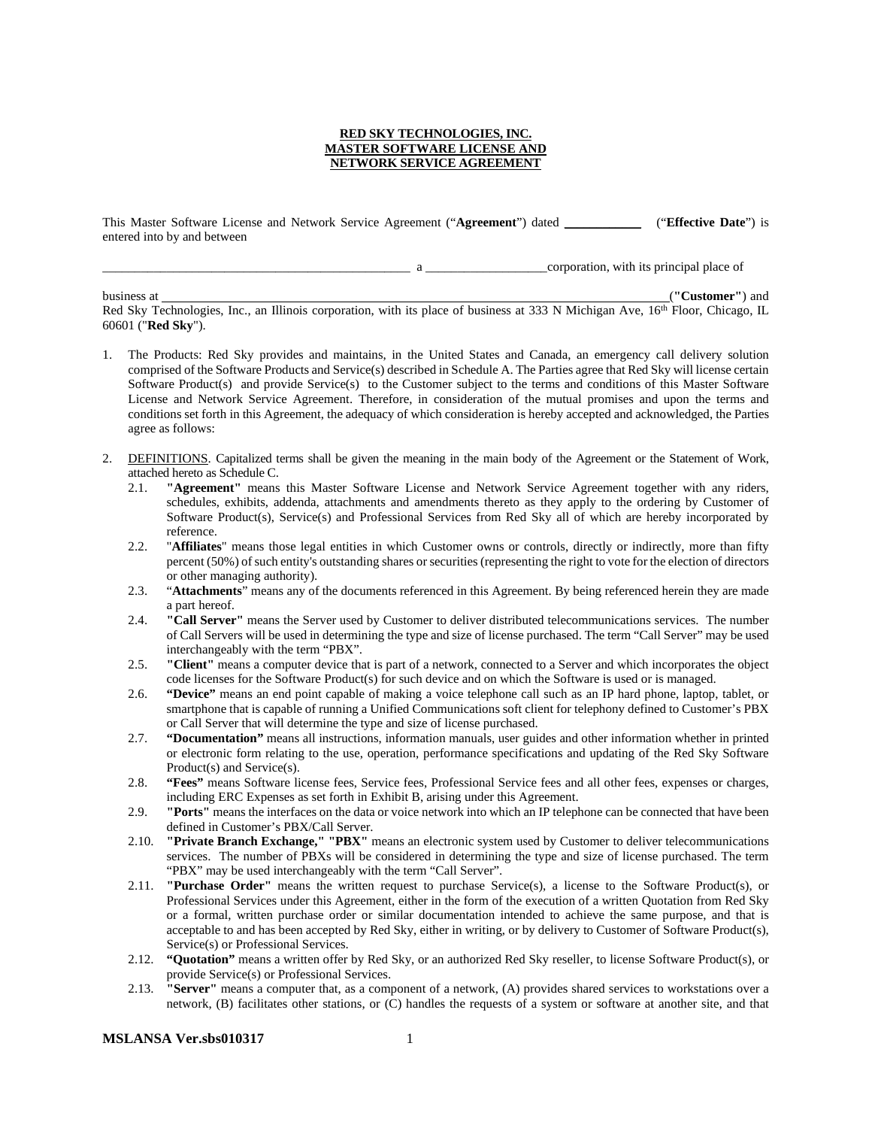#### **RED SKY TECHNOLOGIES, INC. MASTER SOFTWARE LICENSE AND NETWORK SERVICE AGREEMENT**

This Master Software License and Network Service Agreement ("**Agreement**") dated \_\_\_\_\_\_\_\_\_\_\_\_ ("**Effective Date**") is entered into by and between

\_\_\_\_\_\_\_\_\_\_\_\_\_\_\_\_\_\_\_\_\_\_\_\_\_\_\_\_\_\_\_\_\_\_\_\_\_\_\_\_\_\_\_\_\_\_\_\_ a \_\_\_\_\_\_\_\_\_\_\_\_\_\_\_\_\_\_\_corporation, with its principal place of

business at (**"Customer"**) and Red Sky Technologies, Inc., an Illinois corporation, with its place of business at 333 N Michigan Ave, 16<sup>th</sup> Floor, Chicago, IL 60601 ("**Red Sky**").

- 1. The Products: Red Sky provides and maintains, in the United States and Canada, an emergency call delivery solution comprised of the Software Products and Service(s) described in Schedule A. The Parties agree that Red Sky will license certain Software Product(s) and provide Service(s) to the Customer subject to the terms and conditions of this Master Software License and Network Service Agreement. Therefore, in consideration of the mutual promises and upon the terms and conditions set forth in this Agreement, the adequacy of which consideration is hereby accepted and acknowledged, the Parties agree as follows:
- 2. DEFINITIONS. Capitalized terms shall be given the meaning in the main body of the Agreement or the Statement of Work, attached hereto as Schedule C.
	- 2.1. **"Agreement"** means this Master Software License and Network Service Agreement together with any riders, schedules, exhibits, addenda, attachments and amendments thereto as they apply to the ordering by Customer of Software Product(s), Service(s) and Professional Services from Red Sky all of which are hereby incorporated by reference.
	- 2.2. "**Affiliates**" means those legal entities in which Customer owns or controls, directly or indirectly, more than fifty percent (50%) of such entity's outstanding shares or securities (representing the right to vote for the election of directors or other managing authority).
	- 2.3. "**Attachments**" means any of the documents referenced in this Agreement. By being referenced herein they are made a part hereof.
	- 2.4. **"Call Server"** means the Server used by Customer to deliver distributed telecommunications services. The number of Call Servers will be used in determining the type and size of license purchased. The term "Call Server" may be used interchangeably with the term "PBX".
	- 2.5. **"Client"** means a computer device that is part of a network, connected to a Server and which incorporates the object code licenses for the Software Product(s) for such device and on which the Software is used or is managed.
	- 2.6. **"Device"** means an end point capable of making a voice telephone call such as an IP hard phone, laptop, tablet, or smartphone that is capable of running a Unified Communications soft client for telephony defined to Customer's PBX or Call Server that will determine the type and size of license purchased.
	- 2.7. **"Documentation"** means all instructions, information manuals, user guides and other information whether in printed or electronic form relating to the use, operation, performance specifications and updating of the Red Sky Software Product(s) and Service(s).
	- 2.8. **"Fees"** means Software license fees, Service fees, Professional Service fees and all other fees, expenses or charges, including ERC Expenses as set forth in Exhibit B, arising under this Agreement.
	- 2.9. **"Ports"** means the interfaces on the data or voice network into which an IP telephone can be connected that have been defined in Customer's PBX/Call Server.
	- 2.10. **"Private Branch Exchange," "PBX"** means an electronic system used by Customer to deliver telecommunications services. The number of PBXs will be considered in determining the type and size of license purchased. The term "PBX" may be used interchangeably with the term "Call Server".
	- 2.11. **"Purchase Order"** means the written request to purchase Service(s), a license to the Software Product(s), or Professional Services under this Agreement, either in the form of the execution of a written Quotation from Red Sky or a formal, written purchase order or similar documentation intended to achieve the same purpose, and that is acceptable to and has been accepted by Red Sky, either in writing, or by delivery to Customer of Software Product(s), Service(s) or Professional Services.
	- 2.12. **"Quotation"** means a written offer by Red Sky, or an authorized Red Sky reseller, to license Software Product(s), or provide Service(s) or Professional Services.
	- 2.13. **"Server"** means a computer that, as a component of a network, (A) provides shared services to workstations over a network, (B) facilitates other stations, or (C) handles the requests of a system or software at another site, and that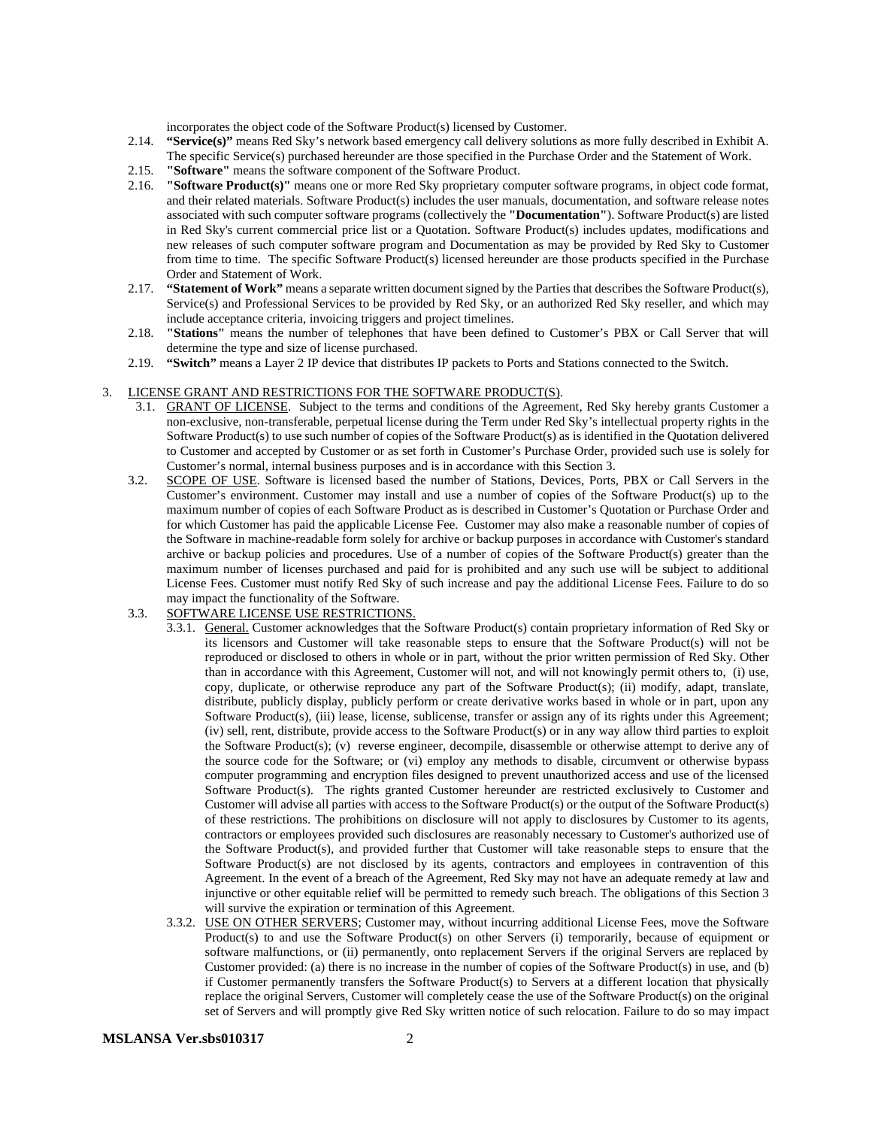incorporates the object code of the Software Product(s) licensed by Customer.

- 2.14. **"Service(s)"** means Red Sky's network based emergency call delivery solutions as more fully described in Exhibit A. The specific Service(s) purchased hereunder are those specified in the Purchase Order and the Statement of Work.
- 2.15. **"Software"** means the software component of the Software Product.
- 2.16. **"Software Product(s)"** means one or more Red Sky proprietary computer software programs, in object code format, and their related materials. Software Product(s) includes the user manuals, documentation, and software release notes associated with such computer software programs (collectively the **"Documentation"**). Software Product(s) are listed in Red Sky's current commercial price list or a Quotation. Software Product(s) includes updates, modifications and new releases of such computer software program and Documentation as may be provided by Red Sky to Customer from time to time. The specific Software Product(s) licensed hereunder are those products specified in the Purchase Order and Statement of Work.
- 2.17. **"Statement of Work"** means a separate written document signed by the Parties that describes the Software Product(s), Service(s) and Professional Services to be provided by Red Sky, or an authorized Red Sky reseller, and which may include acceptance criteria, invoicing triggers and project timelines.
- 2.18. **"Stations"** means the number of telephones that have been defined to Customer's PBX or Call Server that will determine the type and size of license purchased.
- 2.19. **"Switch"** means a Layer 2 IP device that distributes IP packets to Ports and Stations connected to the Switch.

#### 3. LICENSE GRANT AND RESTRICTIONS FOR THE SOFTWARE PRODUCT(S).

- 3.1. GRANT OF LICENSE. Subject to the terms and conditions of the Agreement, Red Sky hereby grants Customer a non-exclusive, non-transferable, perpetual license during the Term under Red Sky's intellectual property rights in the Software Product(s) to use such number of copies of the Software Product(s) as is identified in the Quotation delivered to Customer and accepted by Customer or as set forth in Customer's Purchase Order, provided such use is solely for Customer's normal, internal business purposes and is in accordance with this Section 3.
- 3.2. SCOPE OF USE. Software is licensed based the number of Stations, Devices, Ports, PBX or Call Servers in the Customer's environment. Customer may install and use a number of copies of the Software Product(s) up to the maximum number of copies of each Software Product as is described in Customer's Quotation or Purchase Order and for which Customer has paid the applicable License Fee. Customer may also make a reasonable number of copies of the Software in machine-readable form solely for archive or backup purposes in accordance with Customer's standard archive or backup policies and procedures. Use of a number of copies of the Software Product(s) greater than the maximum number of licenses purchased and paid for is prohibited and any such use will be subject to additional License Fees. Customer must notify Red Sky of such increase and pay the additional License Fees. Failure to do so may impact the functionality of the Software.
- 3.3. SOFTWARE LICENSE USE RESTRICTIONS.
	- 3.3.1. General. Customer acknowledges that the Software Product(s) contain proprietary information of Red Sky or its licensors and Customer will take reasonable steps to ensure that the Software Product(s) will not be reproduced or disclosed to others in whole or in part, without the prior written permission of Red Sky. Other than in accordance with this Agreement, Customer will not, and will not knowingly permit others to, (i) use, copy, duplicate, or otherwise reproduce any part of the Software Product(s); (ii) modify, adapt, translate, distribute, publicly display, publicly perform or create derivative works based in whole or in part, upon any Software Product(s), (iii) lease, license, sublicense, transfer or assign any of its rights under this Agreement; (iv) sell, rent, distribute, provide access to the Software Product(s) or in any way allow third parties to exploit the Software Product(s); (v) reverse engineer, decompile, disassemble or otherwise attempt to derive any of the source code for the Software; or (vi) employ any methods to disable, circumvent or otherwise bypass computer programming and encryption files designed to prevent unauthorized access and use of the licensed Software Product(s). The rights granted Customer hereunder are restricted exclusively to Customer and Customer will advise all parties with access to the Software Product(s) or the output of the Software Product(s) of these restrictions. The prohibitions on disclosure will not apply to disclosures by Customer to its agents, contractors or employees provided such disclosures are reasonably necessary to Customer's authorized use of the Software Product(s), and provided further that Customer will take reasonable steps to ensure that the Software Product(s) are not disclosed by its agents, contractors and employees in contravention of this Agreement. In the event of a breach of the Agreement, Red Sky may not have an adequate remedy at law and injunctive or other equitable relief will be permitted to remedy such breach. The obligations of this Section 3 will survive the expiration or termination of this Agreement.
	- 3.3.2. USE ON OTHER SERVERS; Customer may, without incurring additional License Fees, move the Software Product(s) to and use the Software Product(s) on other Servers (i) temporarily, because of equipment or software malfunctions, or (ii) permanently, onto replacement Servers if the original Servers are replaced by Customer provided: (a) there is no increase in the number of copies of the Software Product(s) in use, and (b) if Customer permanently transfers the Software Product(s) to Servers at a different location that physically replace the original Servers, Customer will completely cease the use of the Software Product(s) on the original set of Servers and will promptly give Red Sky written notice of such relocation. Failure to do so may impact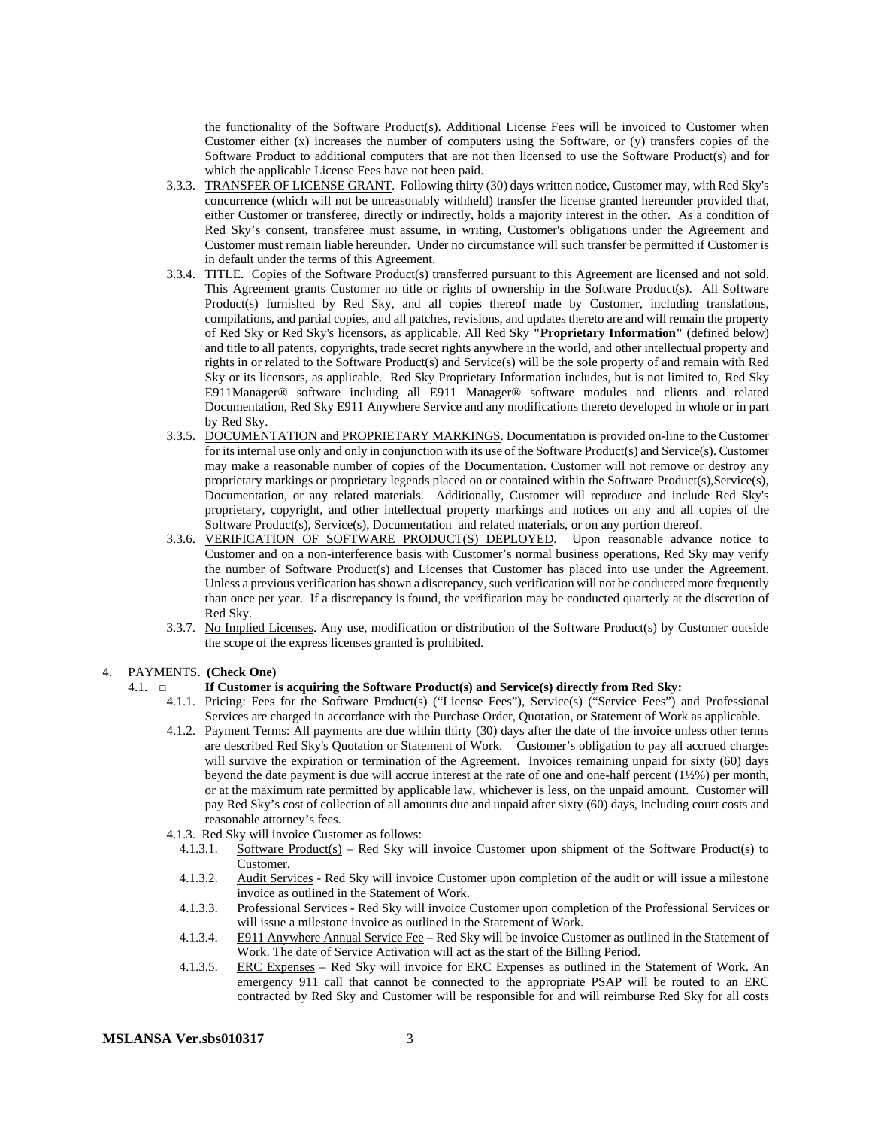the functionality of the Software Product(s). Additional License Fees will be invoiced to Customer when Customer either (x) increases the number of computers using the Software, or (y) transfers copies of the Software Product to additional computers that are not then licensed to use the Software Product(s) and for which the applicable License Fees have not been paid.

- 3.3.3. TRANSFER OF LICENSE GRANT. Following thirty (30) days written notice, Customer may, with Red Sky's concurrence (which will not be unreasonably withheld) transfer the license granted hereunder provided that, either Customer or transferee, directly or indirectly, holds a majority interest in the other. As a condition of Red Sky's consent, transferee must assume, in writing, Customer's obligations under the Agreement and Customer must remain liable hereunder. Under no circumstance will such transfer be permitted if Customer is in default under the terms of this Agreement.
- 3.3.4. TITLE. Copies of the Software Product(s) transferred pursuant to this Agreement are licensed and not sold. This Agreement grants Customer no title or rights of ownership in the Software Product(s). All Software Product(s) furnished by Red Sky, and all copies thereof made by Customer, including translations, compilations, and partial copies, and all patches, revisions, and updates thereto are and will remain the property of Red Sky or Red Sky's licensors, as applicable. All Red Sky **"Proprietary Information"** (defined below) and title to all patents, copyrights, trade secret rights anywhere in the world, and other intellectual property and rights in or related to the Software Product(s) and Service(s) will be the sole property of and remain with Red Sky or its licensors, as applicable. Red Sky Proprietary Information includes, but is not limited to, Red Sky E911Manager® software including all E911 Manager® software modules and clients and related Documentation, Red Sky E911 Anywhere Service and any modifications thereto developed in whole or in part by Red Sky.
- 3.3.5. DOCUMENTATION and PROPRIETARY MARKINGS. Documentation is provided on-line to the Customer for its internal use only and only in conjunction with its use of the Software Product(s) and Service(s). Customer may make a reasonable number of copies of the Documentation. Customer will not remove or destroy any proprietary markings or proprietary legends placed on or contained within the Software Product(s),Service(s), Documentation, or any related materials. Additionally, Customer will reproduce and include Red Sky's proprietary, copyright, and other intellectual property markings and notices on any and all copies of the Software Product(s), Service(s), Documentation and related materials, or on any portion thereof.
- 3.3.6. VERIFICATION OF SOFTWARE PRODUCT(S) DEPLOYED. Upon reasonable advance notice to Customer and on a non-interference basis with Customer's normal business operations, Red Sky may verify the number of Software Product(s) and Licenses that Customer has placed into use under the Agreement. Unless a previous verification has shown a discrepancy, such verification will not be conducted more frequently than once per year. If a discrepancy is found, the verification may be conducted quarterly at the discretion of Red Sky.
- 3.3.7. No Implied Licenses. Any use, modification or distribution of the Software Product(s) by Customer outside the scope of the express licenses granted is prohibited.

#### 4. PAYMENTS. **(Check One)**

#### 4.1. **□ If Customer is acquiring the Software Product(s) and Service(s) directly from Red Sky:**

- 4.1.1. Pricing: Fees for the Software Product(s) ("License Fees"), Service(s) ("Service Fees") and Professional Services are charged in accordance with the Purchase Order, Quotation, or Statement of Work as applicable.
- 4.1.2. Payment Terms: All payments are due within thirty (30) days after the date of the invoice unless other terms are described Red Sky's Quotation or Statement of Work. Customer's obligation to pay all accrued charges will survive the expiration or termination of the Agreement. Invoices remaining unpaid for sixty (60) days beyond the date payment is due will accrue interest at the rate of one and one-half percent (1½%) per month, or at the maximum rate permitted by applicable law, whichever is less, on the unpaid amount. Customer will pay Red Sky's cost of collection of all amounts due and unpaid after sixty (60) days, including court costs and reasonable attorney's fees.
- 4.1.3. Red Sky will invoice Customer as follows:
	- 4.1.3.1. Software Product(s) Red Sky will invoice Customer upon shipment of the Software Product(s) to Customer.
	- 4.1.3.2. Audit Services Red Sky will invoice Customer upon completion of the audit or will issue a milestone invoice as outlined in the Statement of Work.
	- 4.1.3.3. Professional Services Red Sky will invoice Customer upon completion of the Professional Services or will issue a milestone invoice as outlined in the Statement of Work.
	- 4.1.3.4. E911 Anywhere Annual Service Fee Red Sky will be invoice Customer as outlined in the Statement of Work. The date of Service Activation will act as the start of the Billing Period.
	- 4.1.3.5. ERC Expenses Red Sky will invoice for ERC Expenses as outlined in the Statement of Work. An emergency 911 call that cannot be connected to the appropriate PSAP will be routed to an ERC contracted by Red Sky and Customer will be responsible for and will reimburse Red Sky for all costs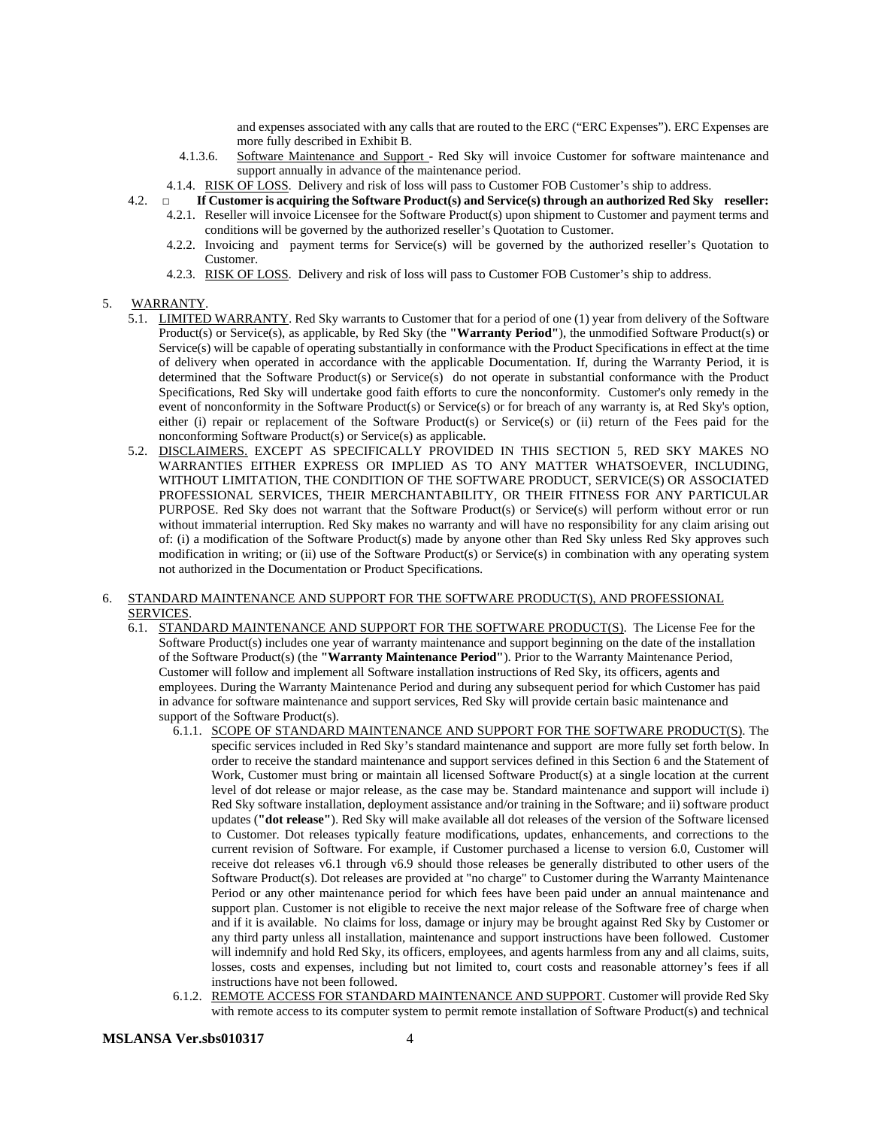and expenses associated with any calls that are routed to the ERC ("ERC Expenses"). ERC Expenses are more fully described in Exhibit B.

- 4.1.3.6. Software Maintenance and Support Red Sky will invoice Customer for software maintenance and support annually in advance of the maintenance period.
- 4.1.4. RISK OF LOSS. Delivery and risk of loss will pass to Customer FOB Customer's ship to address.
- 4.2. **□ If Customer is acquiring the Software Product(s) and Service(s) through an authorized Red Sky reseller:**
	- 4.2.1. Reseller will invoice Licensee for the Software Product(s) upon shipment to Customer and payment terms and conditions will be governed by the authorized reseller's Quotation to Customer.
		- 4.2.2. Invoicing and payment terms for Service(s) will be governed by the authorized reseller's Quotation to Customer.
		- 4.2.3. RISK OF LOSS. Delivery and risk of loss will pass to Customer FOB Customer's ship to address.

#### 5. WARRANTY.

- 5.1. LIMITED WARRANTY. Red Sky warrants to Customer that for a period of one (1) year from delivery of the Software Product(s) or Service(s), as applicable, by Red Sky (the **"Warranty Period"**), the unmodified Software Product(s) or Service(s) will be capable of operating substantially in conformance with the Product Specifications in effect at the time of delivery when operated in accordance with the applicable Documentation. If, during the Warranty Period, it is determined that the Software Product(s) or Service(s) do not operate in substantial conformance with the Product Specifications, Red Sky will undertake good faith efforts to cure the nonconformity. Customer's only remedy in the event of nonconformity in the Software Product(s) or Service(s) or for breach of any warranty is, at Red Sky's option, either (i) repair or replacement of the Software Product(s) or Service(s) or (ii) return of the Fees paid for the nonconforming Software Product(s) or Service(s) as applicable.
- 5.2. DISCLAIMERS. EXCEPT AS SPECIFICALLY PROVIDED IN THIS SECTION 5, RED SKY MAKES NO WARRANTIES EITHER EXPRESS OR IMPLIED AS TO ANY MATTER WHATSOEVER, INCLUDING, WITHOUT LIMITATION, THE CONDITION OF THE SOFTWARE PRODUCT, SERVICE(S) OR ASSOCIATED PROFESSIONAL SERVICES, THEIR MERCHANTABILITY, OR THEIR FITNESS FOR ANY PARTICULAR PURPOSE. Red Sky does not warrant that the Software Product(s) or Service(s) will perform without error or run without immaterial interruption. Red Sky makes no warranty and will have no responsibility for any claim arising out of: (i) a modification of the Software Product(s) made by anyone other than Red Sky unless Red Sky approves such modification in writing; or (ii) use of the Software Product(s) or Service(s) in combination with any operating system not authorized in the Documentation or Product Specifications.

#### 6. STANDARD MAINTENANCE AND SUPPORT FOR THE SOFTWARE PRODUCT(S), AND PROFESSIONAL SERVICES.

- 6.1. STANDARD MAINTENANCE AND SUPPORT FOR THE SOFTWARE PRODUCT(S). The License Fee for the Software Product(s) includes one year of warranty maintenance and support beginning on the date of the installation of the Software Product(s) (the **"Warranty Maintenance Period"**). Prior to the Warranty Maintenance Period, Customer will follow and implement all Software installation instructions of Red Sky, its officers, agents and employees. During the Warranty Maintenance Period and during any subsequent period for which Customer has paid in advance for software maintenance and support services, Red Sky will provide certain basic maintenance and support of the Software Product(s).
	- 6.1.1. SCOPE OF STANDARD MAINTENANCE AND SUPPORT FOR THE SOFTWARE PRODUCT(S). The specific services included in Red Sky's standard maintenance and support are more fully set forth below. In order to receive the standard maintenance and support services defined in this Section 6 and the Statement of Work, Customer must bring or maintain all licensed Software Product(s) at a single location at the current level of dot release or major release, as the case may be. Standard maintenance and support will include i) Red Sky software installation, deployment assistance and/or training in the Software; and ii) software product updates (**"dot release"**). Red Sky will make available all dot releases of the version of the Software licensed to Customer. Dot releases typically feature modifications, updates, enhancements, and corrections to the current revision of Software. For example, if Customer purchased a license to version 6.0, Customer will receive dot releases v6.1 through v6.9 should those releases be generally distributed to other users of the Software Product(s). Dot releases are provided at "no charge" to Customer during the Warranty Maintenance Period or any other maintenance period for which fees have been paid under an annual maintenance and support plan. Customer is not eligible to receive the next major release of the Software free of charge when and if it is available. No claims for loss, damage or injury may be brought against Red Sky by Customer or any third party unless all installation, maintenance and support instructions have been followed. Customer will indemnify and hold Red Sky, its officers, employees, and agents harmless from any and all claims, suits, losses, costs and expenses, including but not limited to, court costs and reasonable attorney's fees if all instructions have not been followed.
	- 6.1.2. REMOTE ACCESS FOR STANDARD MAINTENANCE AND SUPPORT. Customer will provide Red Sky with remote access to its computer system to permit remote installation of Software Product(s) and technical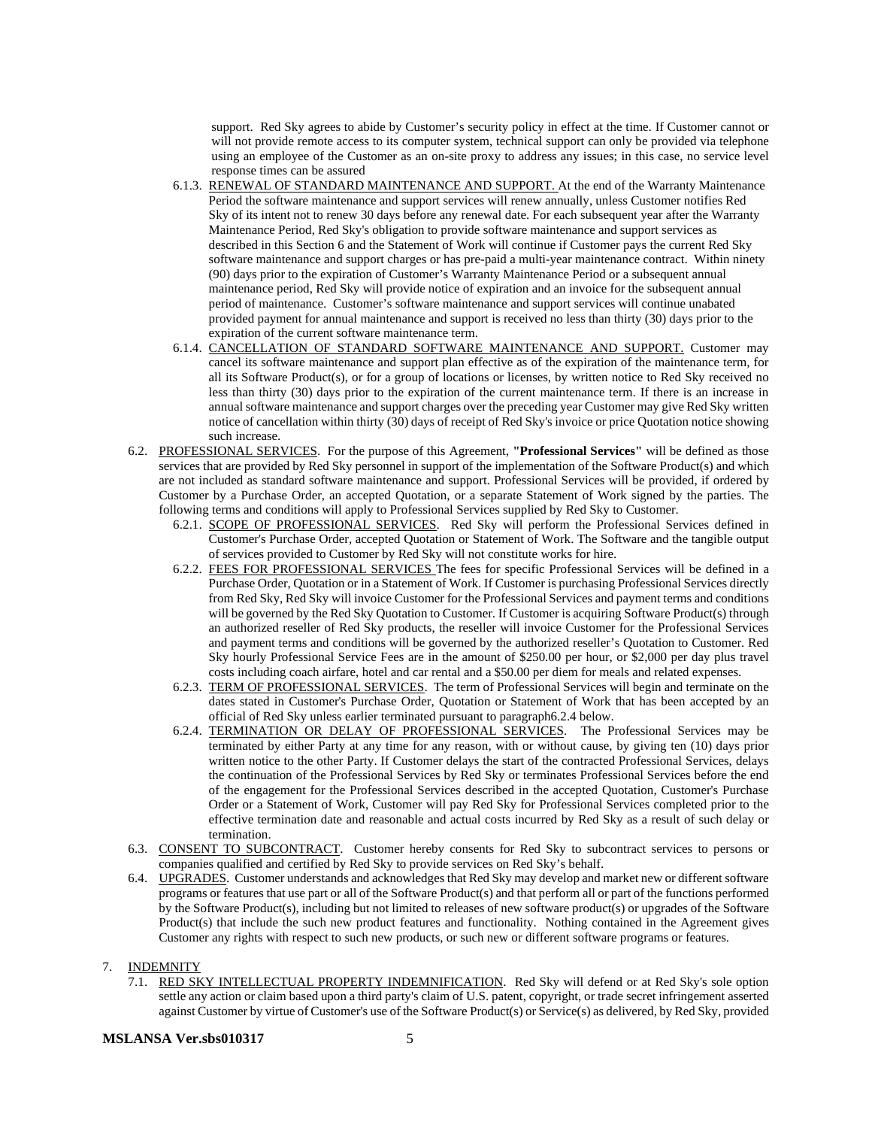support. Red Sky agrees to abide by Customer's security policy in effect at the time. If Customer cannot or will not provide remote access to its computer system, technical support can only be provided via telephone using an employee of the Customer as an on-site proxy to address any issues; in this case, no service level response times can be assured

- 6.1.3. RENEWAL OF STANDARD MAINTENANCE AND SUPPORT. At the end of the Warranty Maintenance Period the software maintenance and support services will renew annually, unless Customer notifies Red Sky of its intent not to renew 30 days before any renewal date. For each subsequent year after the Warranty Maintenance Period, Red Sky's obligation to provide software maintenance and support services as described in this Section 6 and the Statement of Work will continue if Customer pays the current Red Sky software maintenance and support charges or has pre-paid a multi-year maintenance contract. Within ninety (90) days prior to the expiration of Customer's Warranty Maintenance Period or a subsequent annual maintenance period, Red Sky will provide notice of expiration and an invoice for the subsequent annual period of maintenance. Customer's software maintenance and support services will continue unabated provided payment for annual maintenance and support is received no less than thirty (30) days prior to the expiration of the current software maintenance term.
- 6.1.4. CANCELLATION OF STANDARD SOFTWARE MAINTENANCE AND SUPPORT. Customer may cancel its software maintenance and support plan effective as of the expiration of the maintenance term, for all its Software Product(s), or for a group of locations or licenses, by written notice to Red Sky received no less than thirty (30) days prior to the expiration of the current maintenance term. If there is an increase in annual software maintenance and support charges over the preceding year Customer may give Red Sky written notice of cancellation within thirty  $(30)$  days of receipt of Red Sky's invoice or price Quotation notice showing such increase.
- 6.2. PROFESSIONAL SERVICES. For the purpose of this Agreement, **"Professional Services"** will be defined as those services that are provided by Red Sky personnel in support of the implementation of the Software Product(s) and which are not included as standard software maintenance and support. Professional Services will be provided, if ordered by Customer by a Purchase Order, an accepted Quotation, or a separate Statement of Work signed by the parties. The following terms and conditions will apply to Professional Services supplied by Red Sky to Customer.
	- 6.2.1. SCOPE OF PROFESSIONAL SERVICES. Red Sky will perform the Professional Services defined in Customer's Purchase Order, accepted Quotation or Statement of Work. The Software and the tangible output of services provided to Customer by Red Sky will not constitute works for hire.
	- 6.2.2. FEES FOR PROFESSIONAL SERVICES The fees for specific Professional Services will be defined in a Purchase Order, Quotation or in a Statement of Work. If Customer is purchasing Professional Services directly from Red Sky, Red Sky will invoice Customer for the Professional Services and payment terms and conditions will be governed by the Red Sky Quotation to Customer. If Customer is acquiring Software Product(s) through an authorized reseller of Red Sky products, the reseller will invoice Customer for the Professional Services and payment terms and conditions will be governed by the authorized reseller's Quotation to Customer. Red Sky hourly Professional Service Fees are in the amount of \$250.00 per hour, or \$2,000 per day plus travel costs including coach airfare, hotel and car rental and a \$50.00 per diem for meals and related expenses.
	- 6.2.3. TERM OF PROFESSIONAL SERVICES. The term of Professional Services will begin and terminate on the dates stated in Customer's Purchase Order, Quotation or Statement of Work that has been accepted by an official of Red Sky unless earlier terminated pursuant to paragraph6.2.4 below.
	- 6.2.4. TERMINATION OR DELAY OF PROFESSIONAL SERVICES. The Professional Services may be terminated by either Party at any time for any reason, with or without cause, by giving ten (10) days prior written notice to the other Party. If Customer delays the start of the contracted Professional Services, delays the continuation of the Professional Services by Red Sky or terminates Professional Services before the end of the engagement for the Professional Services described in the accepted Quotation, Customer's Purchase Order or a Statement of Work, Customer will pay Red Sky for Professional Services completed prior to the effective termination date and reasonable and actual costs incurred by Red Sky as a result of such delay or termination.
- 6.3. CONSENT TO SUBCONTRACT. Customer hereby consents for Red Sky to subcontract services to persons or companies qualified and certified by Red Sky to provide services on Red Sky's behalf.
- 6.4. UPGRADES. Customer understands and acknowledges that Red Sky may develop and market new or different software programs or features that use part or all of the Software Product(s) and that perform all or part of the functions performed by the Software Product(s), including but not limited to releases of new software product(s) or upgrades of the Software Product(s) that include the such new product features and functionality. Nothing contained in the Agreement gives Customer any rights with respect to such new products, or such new or different software programs or features.

### 7. INDEMNITY

7.1. RED SKY INTELLECTUAL PROPERTY INDEMNIFICATION. Red Sky will defend or at Red Sky's sole option settle any action or claim based upon a third party's claim of U.S. patent, copyright, or trade secret infringement asserted against Customer by virtue of Customer's use of the Software Product(s) or Service(s) as delivered, by Red Sky, provided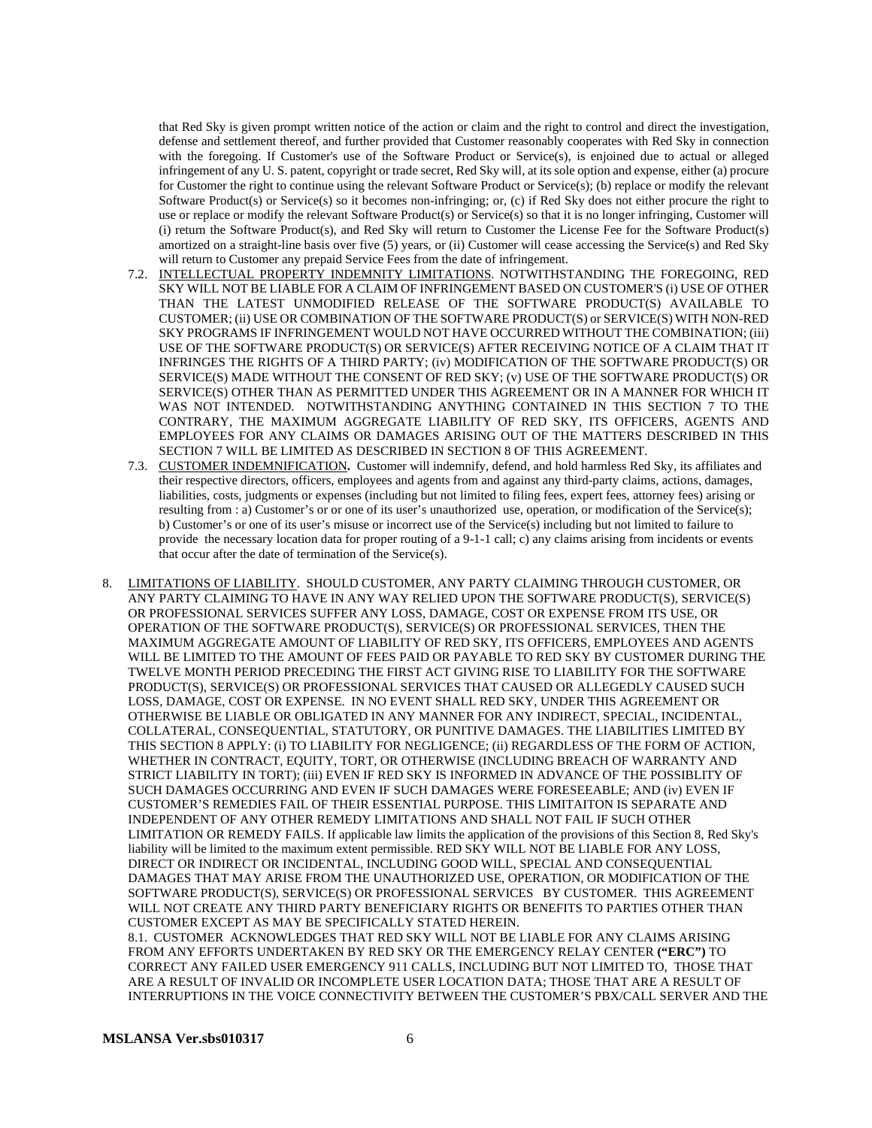that Red Sky is given prompt written notice of the action or claim and the right to control and direct the investigation, defense and settlement thereof, and further provided that Customer reasonably cooperates with Red Sky in connection with the foregoing. If Customer's use of the Software Product or Service(s), is enjoined due to actual or alleged infringement of any U. S. patent, copyright or trade secret, Red Sky will, at its sole option and expense, either (a) procure for Customer the right to continue using the relevant Software Product or Service(s); (b) replace or modify the relevant Software Product(s) or Service(s) so it becomes non-infringing; or, (c) if Red Sky does not either procure the right to use or replace or modify the relevant Software Product(s) or Service(s) so that it is no longer infringing, Customer will (i) return the Software Product(s), and Red Sky will return to Customer the License Fee for the Software Product(s) amortized on a straight-line basis over five (5) years, or (ii) Customer will cease accessing the Service(s) and Red Sky will return to Customer any prepaid Service Fees from the date of infringement.

- 7.2. INTELLECTUAL PROPERTY INDEMNITY LIMITATIONS. NOTWITHSTANDING THE FOREGOING, RED SKY WILL NOT BE LIABLE FOR A CLAIM OF INFRINGEMENT BASED ON CUSTOMER'S (i) USE OF OTHER THAN THE LATEST UNMODIFIED RELEASE OF THE SOFTWARE PRODUCT(S) AVAILABLE TO CUSTOMER; (ii) USE OR COMBINATION OF THE SOFTWARE PRODUCT(S) or SERVICE(S) WITH NON-RED SKY PROGRAMS IF INFRINGEMENT WOULD NOT HAVE OCCURRED WITHOUT THE COMBINATION; (iii) USE OF THE SOFTWARE PRODUCT(S) OR SERVICE(S) AFTER RECEIVING NOTICE OF A CLAIM THAT IT INFRINGES THE RIGHTS OF A THIRD PARTY; (iv) MODIFICATION OF THE SOFTWARE PRODUCT(S) OR SERVICE(S) MADE WITHOUT THE CONSENT OF RED SKY; (v) USE OF THE SOFTWARE PRODUCT(S) OR SERVICE(S) OTHER THAN AS PERMITTED UNDER THIS AGREEMENT OR IN A MANNER FOR WHICH IT WAS NOT INTENDED. NOTWITHSTANDING ANYTHING CONTAINED IN THIS SECTION 7 TO THE CONTRARY, THE MAXIMUM AGGREGATE LIABILITY OF RED SKY, ITS OFFICERS, AGENTS AND EMPLOYEES FOR ANY CLAIMS OR DAMAGES ARISING OUT OF THE MATTERS DESCRIBED IN THIS SECTION 7 WILL BE LIMITED AS DESCRIBED IN SECTION 8 OF THIS AGREEMENT.
- 7.3. CUSTOMER INDEMNIFICATION**.** Customer will indemnify, defend, and hold harmless Red Sky, its affiliates and their respective directors, officers, employees and agents from and against any third-party claims, actions, damages, liabilities, costs, judgments or expenses (including but not limited to filing fees, expert fees, attorney fees) arising or resulting from : a) Customer's or or one of its user's unauthorized use, operation, or modification of the Service(s); b) Customer's or one of its user's misuse or incorrect use of the Service(s) including but not limited to failure to provide the necessary location data for proper routing of a 9-1-1 call; c) any claims arising from incidents or events that occur after the date of termination of the Service(s).
- 8. LIMITATIONS OF LIABILITY. SHOULD CUSTOMER, ANY PARTY CLAIMING THROUGH CUSTOMER, OR ANY PARTY CLAIMING TO HAVE IN ANY WAY RELIED UPON THE SOFTWARE PRODUCT(S), SERVICE(S) OR PROFESSIONAL SERVICES SUFFER ANY LOSS, DAMAGE, COST OR EXPENSE FROM ITS USE, OR OPERATION OF THE SOFTWARE PRODUCT(S), SERVICE(S) OR PROFESSIONAL SERVICES, THEN THE MAXIMUM AGGREGATE AMOUNT OF LIABILITY OF RED SKY, ITS OFFICERS, EMPLOYEES AND AGENTS WILL BE LIMITED TO THE AMOUNT OF FEES PAID OR PAYABLE TO RED SKY BY CUSTOMER DURING THE TWELVE MONTH PERIOD PRECEDING THE FIRST ACT GIVING RISE TO LIABILITY FOR THE SOFTWARE PRODUCT(S), SERVICE(S) OR PROFESSIONAL SERVICES THAT CAUSED OR ALLEGEDLY CAUSED SUCH LOSS, DAMAGE, COST OR EXPENSE. IN NO EVENT SHALL RED SKY, UNDER THIS AGREEMENT OR OTHERWISE BE LIABLE OR OBLIGATED IN ANY MANNER FOR ANY INDIRECT, SPECIAL, INCIDENTAL, COLLATERAL, CONSEQUENTIAL, STATUTORY, OR PUNITIVE DAMAGES. THE LIABILITIES LIMITED BY THIS SECTION 8 APPLY: (i) TO LIABILITY FOR NEGLIGENCE; (ii) REGARDLESS OF THE FORM OF ACTION, WHETHER IN CONTRACT, EQUITY, TORT, OR OTHERWISE (INCLUDING BREACH OF WARRANTY AND STRICT LIABILITY IN TORT); (iii) EVEN IF RED SKY IS INFORMED IN ADVANCE OF THE POSSIBLITY OF SUCH DAMAGES OCCURRING AND EVEN IF SUCH DAMAGES WERE FORESEEABLE; AND (iv) EVEN IF CUSTOMER'S REMEDIES FAIL OF THEIR ESSENTIAL PURPOSE. THIS LIMITAITON IS SEPARATE AND INDEPENDENT OF ANY OTHER REMEDY LIMITATIONS AND SHALL NOT FAIL IF SUCH OTHER LIMITATION OR REMEDY FAILS. If applicable law limits the application of the provisions of this Section 8, Red Sky's liability will be limited to the maximum extent permissible. RED SKY WILL NOT BE LIABLE FOR ANY LOSS, DIRECT OR INDIRECT OR INCIDENTAL, INCLUDING GOOD WILL, SPECIAL AND CONSEQUENTIAL DAMAGES THAT MAY ARISE FROM THE UNAUTHORIZED USE, OPERATION, OR MODIFICATION OF THE SOFTWARE PRODUCT(S), SERVICE(S) OR PROFESSIONAL SERVICES BY CUSTOMER. THIS AGREEMENT WILL NOT CREATE ANY THIRD PARTY BENEFICIARY RIGHTS OR BENEFITS TO PARTIES OTHER THAN CUSTOMER EXCEPT AS MAY BE SPECIFICALLY STATED HEREIN.

8.1. CUSTOMER ACKNOWLEDGES THAT RED SKY WILL NOT BE LIABLE FOR ANY CLAIMS ARISING FROM ANY EFFORTS UNDERTAKEN BY RED SKY OR THE EMERGENCY RELAY CENTER **("ERC")** TO CORRECT ANY FAILED USER EMERGENCY 911 CALLS, INCLUDING BUT NOT LIMITED TO, THOSE THAT ARE A RESULT OF INVALID OR INCOMPLETE USER LOCATION DATA; THOSE THAT ARE A RESULT OF INTERRUPTIONS IN THE VOICE CONNECTIVITY BETWEEN THE CUSTOMER'S PBX/CALL SERVER AND THE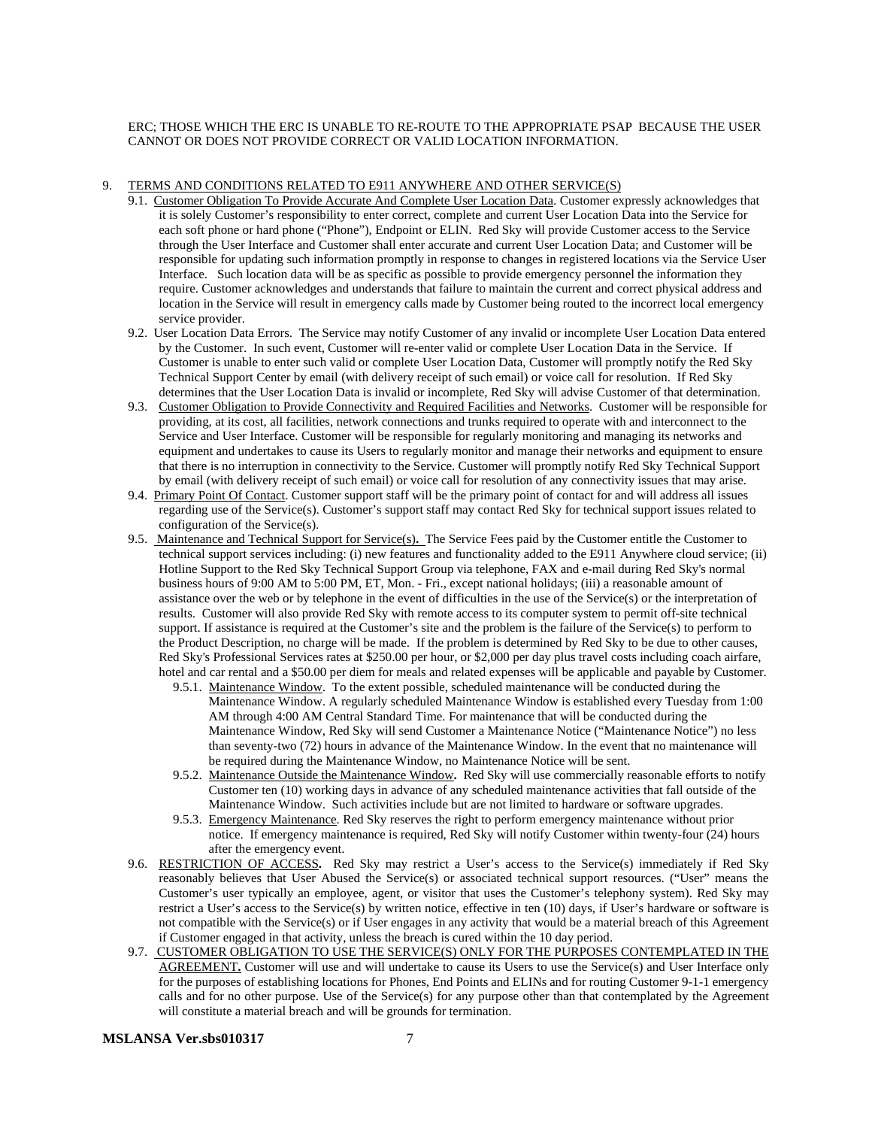ERC; THOSE WHICH THE ERC IS UNABLE TO RE-ROUTE TO THE APPROPRIATE PSAP BECAUSE THE USER CANNOT OR DOES NOT PROVIDE CORRECT OR VALID LOCATION INFORMATION.

#### 9. TERMS AND CONDITIONS RELATED TO E911 ANYWHERE AND OTHER SERVICE(S)

- 9.1. Customer Obligation To Provide Accurate And Complete User Location Data. Customer expressly acknowledges that it is solely Customer's responsibility to enter correct, complete and current User Location Data into the Service for each soft phone or hard phone ("Phone"), Endpoint or ELIN. Red Sky will provide Customer access to the Service through the User Interface and Customer shall enter accurate and current User Location Data; and Customer will be responsible for updating such information promptly in response to changes in registered locations via the Service User Interface. Such location data will be as specific as possible to provide emergency personnel the information they require. Customer acknowledges and understands that failure to maintain the current and correct physical address and location in the Service will result in emergency calls made by Customer being routed to the incorrect local emergency service provider.
- 9.2. User Location Data Errors. The Service may notify Customer of any invalid or incomplete User Location Data entered by the Customer. In such event, Customer will re-enter valid or complete User Location Data in the Service. If Customer is unable to enter such valid or complete User Location Data, Customer will promptly notify the Red Sky Technical Support Center by email (with delivery receipt of such email) or voice call for resolution. If Red Sky determines that the User Location Data is invalid or incomplete, Red Sky will advise Customer of that determination.
- 9.3. Customer Obligation to Provide Connectivity and Required Facilities and Networks.Customer will be responsible for providing, at its cost, all facilities, network connections and trunks required to operate with and interconnect to the Service and User Interface. Customer will be responsible for regularly monitoring and managing its networks and equipment and undertakes to cause its Users to regularly monitor and manage their networks and equipment to ensure that there is no interruption in connectivity to the Service. Customer will promptly notify Red Sky Technical Support by email (with delivery receipt of such email) or voice call for resolution of any connectivity issues that may arise.
- 9.4. Primary Point Of Contact. Customer support staff will be the primary point of contact for and will address all issues regarding use of the Service(s). Customer's support staff may contact Red Sky for technical support issues related to configuration of the Service(s).
- 9.5. Maintenance and Technical Support for Service(s)**.** The Service Fees paid by the Customer entitle the Customer to technical support services including: (i) new features and functionality added to the E911 Anywhere cloud service; (ii) Hotline Support to the Red Sky Technical Support Group via telephone, FAX and e-mail during Red Sky's normal business hours of 9:00 AM to 5:00 PM, ET, Mon. - Fri., except national holidays; (iii) a reasonable amount of assistance over the web or by telephone in the event of difficulties in the use of the Service(s) or the interpretation of results. Customer will also provide Red Sky with remote access to its computer system to permit off-site technical support. If assistance is required at the Customer's site and the problem is the failure of the Service(s) to perform to the Product Description, no charge will be made. If the problem is determined by Red Sky to be due to other causes, Red Sky's Professional Services rates at \$250.00 per hour, or \$2,000 per day plus travel costs including coach airfare, hotel and car rental and a \$50.00 per diem for meals and related expenses will be applicable and payable by Customer.
	- 9.5.1. Maintenance Window. To the extent possible, scheduled maintenance will be conducted during the Maintenance Window. A regularly scheduled Maintenance Window is established every Tuesday from 1:00 AM through 4:00 AM Central Standard Time. For maintenance that will be conducted during the Maintenance Window, Red Sky will send Customer a Maintenance Notice ("Maintenance Notice") no less than seventy-two (72) hours in advance of the Maintenance Window. In the event that no maintenance will be required during the Maintenance Window, no Maintenance Notice will be sent.
	- 9.5.2. Maintenance Outside the Maintenance Window**.** Red Sky will use commercially reasonable efforts to notify Customer ten (10) working days in advance of any scheduled maintenance activities that fall outside of the Maintenance Window. Such activities include but are not limited to hardware or software upgrades.
	- 9.5.3. Emergency Maintenance. Red Sky reserves the right to perform emergency maintenance without prior notice. If emergency maintenance is required, Red Sky will notify Customer within twenty-four (24) hours after the emergency event.
- 9.6. RESTRICTION OF ACCESS**.** Red Sky may restrict a User's access to the Service(s) immediately if Red Sky reasonably believes that User Abused the Service(s) or associated technical support resources. ("User" means the Customer's user typically an employee, agent, or visitor that uses the Customer's telephony system). Red Sky may restrict a User's access to the Service(s) by written notice, effective in ten (10) days, if User's hardware or software is not compatible with the Service(s) or if User engages in any activity that would be a material breach of this Agreement if Customer engaged in that activity, unless the breach is cured within the 10 day period.
- 9.7. CUSTOMER OBLIGATION TO USE THE SERVICE(S) ONLY FOR THE PURPOSES CONTEMPLATED IN THE AGREEMENT**.** Customer will use and will undertake to cause its Users to use the Service(s) and User Interface only for the purposes of establishing locations for Phones, End Points and ELINs and for routing Customer 9-1-1 emergency calls and for no other purpose. Use of the Service(s) for any purpose other than that contemplated by the Agreement will constitute a material breach and will be grounds for termination.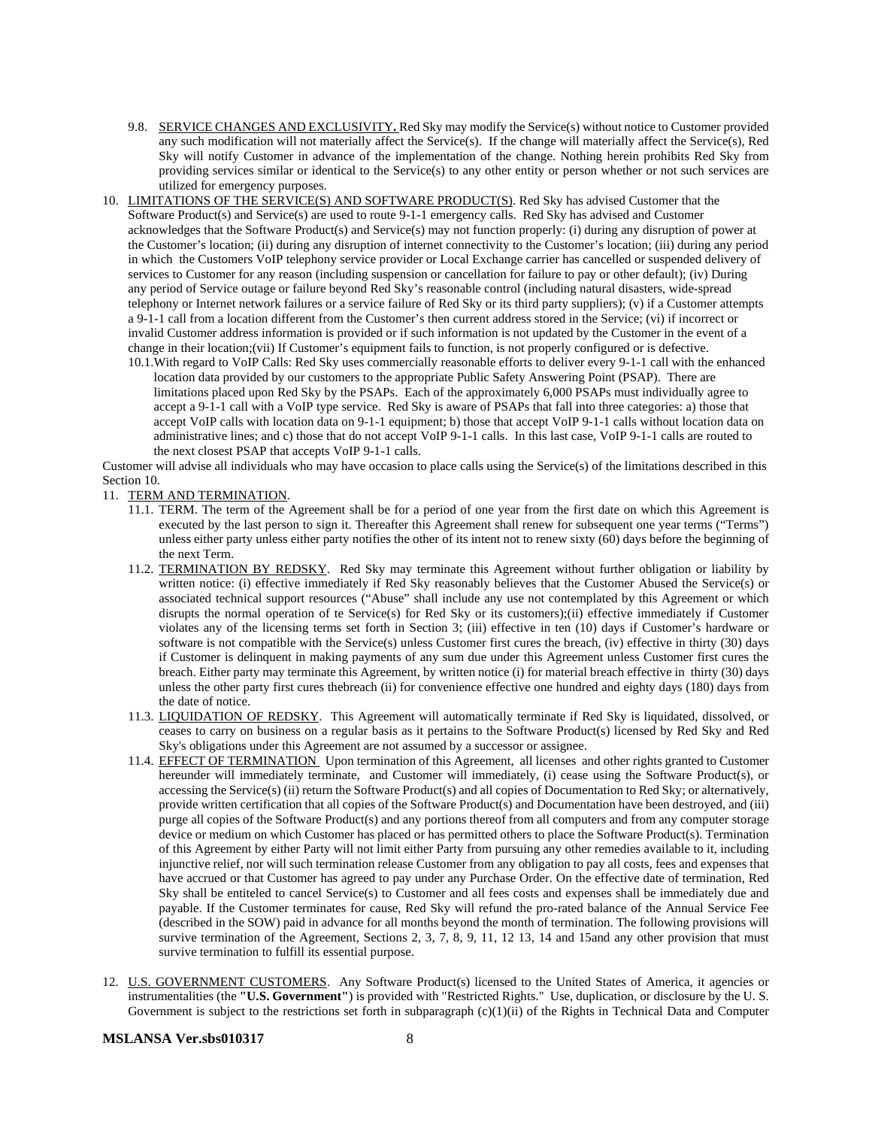- 9.8. SERVICE CHANGES AND EXCLUSIVITY**.** Red Sky may modify the Service(s) without notice to Customer provided any such modification will not materially affect the Service(s). If the change will materially affect the Service(s), Red Sky will notify Customer in advance of the implementation of the change. Nothing herein prohibits Red Sky from providing services similar or identical to the Service(s) to any other entity or person whether or not such services are utilized for emergency purposes.
- 10. LIMITATIONS OF THE SERVICE(S) AND SOFTWARE PRODUCT(S). Red Sky has advised Customer that the Software Product(s) and Service(s) are used to route 9-1-1 emergency calls. Red Sky has advised and Customer acknowledges that the Software Product(s) and Service(s) may not function properly: (i) during any disruption of power at the Customer's location; (ii) during any disruption of internet connectivity to the Customer's location; (iii) during any period in which the Customers VoIP telephony service provider or Local Exchange carrier has cancelled or suspended delivery of services to Customer for any reason (including suspension or cancellation for failure to pay or other default); (iv) During any period of Service outage or failure beyond Red Sky's reasonable control (including natural disasters, wide-spread telephony or Internet network failures or a service failure of Red Sky or its third party suppliers); (v) if a Customer attempts a 9-1-1 call from a location different from the Customer's then current address stored in the Service; (vi) if incorrect or invalid Customer address information is provided or if such information is not updated by the Customer in the event of a change in their location;(vii) If Customer's equipment fails to function, is not properly configured or is defective.
	- 10.1.With regard to VoIP Calls: Red Sky uses commercially reasonable efforts to deliver every 9-1-1 call with the enhanced location data provided by our customers to the appropriate Public Safety Answering Point (PSAP). There are limitations placed upon Red Sky by the PSAPs. Each of the approximately 6,000 PSAPs must individually agree to accept a 9-1-1 call with a VoIP type service. Red Sky is aware of PSAPs that fall into three categories: a) those that accept VoIP calls with location data on 9-1-1 equipment; b) those that accept VoIP 9-1-1 calls without location data on administrative lines; and c) those that do not accept VoIP 9-1-1 calls. In this last case, VoIP 9-1-1 calls are routed to the next closest PSAP that accepts VoIP 9-1-1 calls.

Customer will advise all individuals who may have occasion to place calls using the Service(s) of the limitations described in this Section 10.

11. TERM AND TERMINATION.

- 11.1. TERM. The term of the Agreement shall be for a period of one year from the first date on which this Agreement is executed by the last person to sign it. Thereafter this Agreement shall renew for subsequent one year terms ("Terms") unless either party unless either party notifies the other of its intent not to renew sixty (60) days before the beginning of the next Term.
- 11.2. TERMINATION BY REDSKY. Red Sky may terminate this Agreement without further obligation or liability by written notice: (i) effective immediately if Red Sky reasonably believes that the Customer Abused the Service(s) or associated technical support resources ("Abuse" shall include any use not contemplated by this Agreement or which disrupts the normal operation of te Service(s) for Red Sky or its customers);(ii) effective immediately if Customer violates any of the licensing terms set forth in Section 3; (iii) effective in ten (10) days if Customer's hardware or software is not compatible with the Service(s) unless Customer first cures the breach, (iv) effective in thirty (30) days if Customer is delinquent in making payments of any sum due under this Agreement unless Customer first cures the breach. Either party may terminate this Agreement, by written notice (i) for material breach effective in thirty (30) days unless the other party first cures thebreach (ii) for convenience effective one hundred and eighty days (180) days from the date of notice.
- 11.3. LIQUIDATION OF REDSKY. This Agreement will automatically terminate if Red Sky is liquidated, dissolved, or ceases to carry on business on a regular basis as it pertains to the Software Product(s) licensed by Red Sky and Red Sky's obligations under this Agreement are not assumed by a successor or assignee.
- 11.4. EFFECT OF TERMINATION Upon termination of this Agreement, all licenses and other rights granted to Customer hereunder will immediately terminate, and Customer will immediately, (i) cease using the Software Product(s), or accessing the Service(s) (ii) return the Software Product(s) and all copies of Documentation to Red Sky; or alternatively, provide written certification that all copies of the Software Product(s) and Documentation have been destroyed, and (iii) purge all copies of the Software Product(s) and any portions thereof from all computers and from any computer storage device or medium on which Customer has placed or has permitted others to place the Software Product(s). Termination of this Agreement by either Party will not limit either Party from pursuing any other remedies available to it, including injunctive relief, nor will such termination release Customer from any obligation to pay all costs, fees and expenses that have accrued or that Customer has agreed to pay under any Purchase Order. On the effective date of termination, Red Sky shall be entiteled to cancel Service(s) to Customer and all fees costs and expenses shall be immediately due and payable. If the Customer terminates for cause, Red Sky will refund the pro-rated balance of the Annual Service Fee (described in the SOW) paid in advance for all months beyond the month of termination. The following provisions will survive termination of the Agreement, Sections 2, 3, 7, 8, 9, 11, 12 13, 14 and 15and any other provision that must survive termination to fulfill its essential purpose.
- 12. U.S. GOVERNMENT CUSTOMERS. Any Software Product(s) licensed to the United States of America, it agencies or instrumentalities (the **"U.S. Government"**) is provided with "Restricted Rights." Use, duplication, or disclosure by the U. S. Government is subject to the restrictions set forth in subparagraph (c)(1)(ii) of the Rights in Technical Data and Computer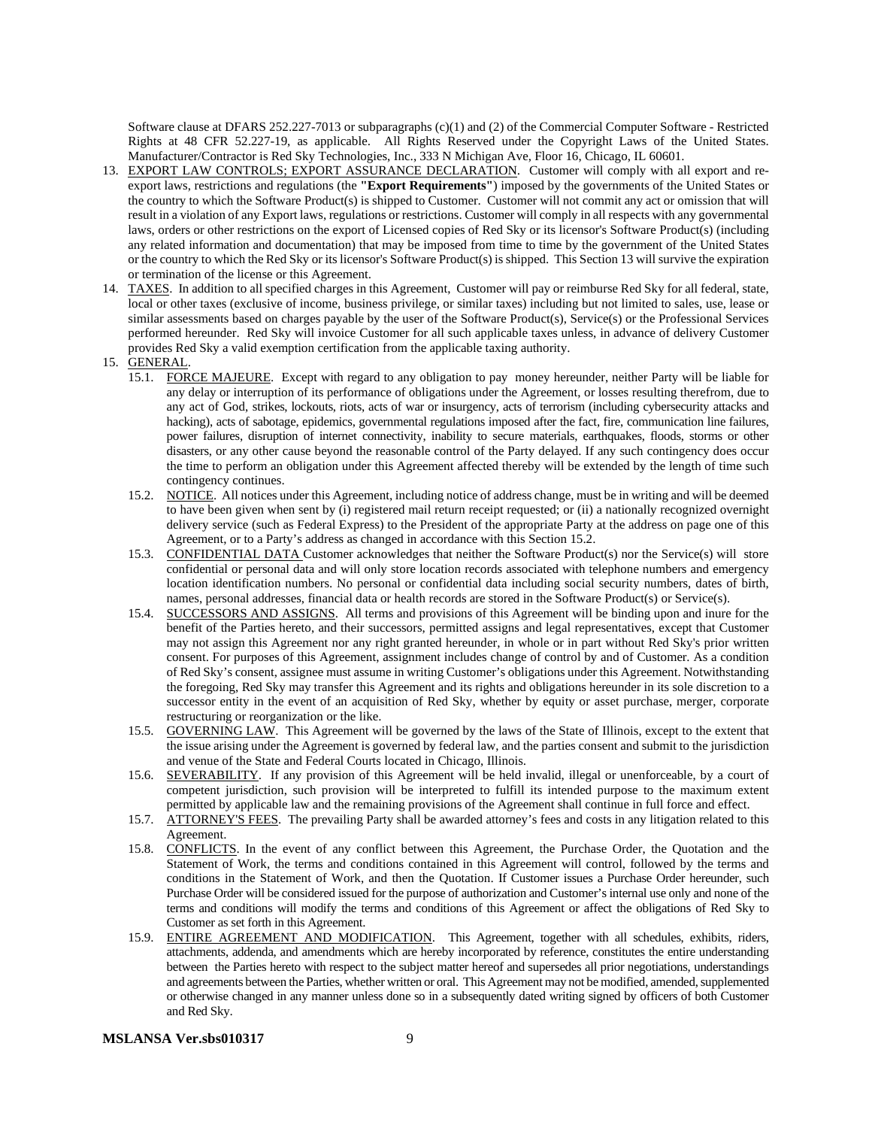Software clause at DFARS 252.227-7013 or subparagraphs (c)(1) and (2) of the Commercial Computer Software - Restricted Rights at 48 CFR 52.227-19, as applicable. All Rights Reserved under the Copyright Laws of the United States. Manufacturer/Contractor is Red Sky Technologies, Inc., 333 N Michigan Ave, Floor 16, Chicago, IL 60601.

- 13. EXPORT LAW CONTROLS; EXPORT ASSURANCE DECLARATION. Customer will comply with all export and reexport laws, restrictions and regulations (the **"Export Requirements"**) imposed by the governments of the United States or the country to which the Software Product(s) is shipped to Customer. Customer will not commit any act or omission that will result in a violation of any Export laws, regulations or restrictions. Customer will comply in all respects with any governmental laws, orders or other restrictions on the export of Licensed copies of Red Sky or its licensor's Software Product(s) (including any related information and documentation) that may be imposed from time to time by the government of the United States or the country to which the Red Sky or its licensor's Software Product(s) is shipped. This Section 13 will survive the expiration or termination of the license or this Agreement.
- 14. TAXES. In addition to all specified charges in this Agreement, Customer will pay or reimburse Red Sky for all federal, state, local or other taxes (exclusive of income, business privilege, or similar taxes) including but not limited to sales, use, lease or similar assessments based on charges payable by the user of the Software Product(s), Service(s) or the Professional Services performed hereunder. Red Sky will invoice Customer for all such applicable taxes unless, in advance of delivery Customer provides Red Sky a valid exemption certification from the applicable taxing authority.
- 15. GENERAL.
	- 15.1. FORCE MAJEURE. Except with regard to any obligation to pay money hereunder, neither Party will be liable for any delay or interruption of its performance of obligations under the Agreement, or losses resulting therefrom, due to any act of God, strikes, lockouts, riots, acts of war or insurgency, acts of terrorism (including cybersecurity attacks and hacking), acts of sabotage, epidemics, governmental regulations imposed after the fact, fire, communication line failures, power failures, disruption of internet connectivity, inability to secure materials, earthquakes, floods, storms or other disasters, or any other cause beyond the reasonable control of the Party delayed. If any such contingency does occur the time to perform an obligation under this Agreement affected thereby will be extended by the length of time such contingency continues.
	- 15.2. NOTICE. All notices under this Agreement, including notice of address change, must be in writing and will be deemed to have been given when sent by (i) registered mail return receipt requested; or (ii) a nationally recognized overnight delivery service (such as Federal Express) to the President of the appropriate Party at the address on page one of this Agreement, or to a Party's address as changed in accordance with this Section 15.2.
	- 15.3. CONFIDENTIAL DATA Customer acknowledges that neither the Software Product(s) nor the Service(s) will store confidential or personal data and will only store location records associated with telephone numbers and emergency location identification numbers. No personal or confidential data including social security numbers, dates of birth, names, personal addresses, financial data or health records are stored in the Software Product(s) or Service(s).
	- 15.4. SUCCESSORS AND ASSIGNS. All terms and provisions of this Agreement will be binding upon and inure for the benefit of the Parties hereto, and their successors, permitted assigns and legal representatives, except that Customer may not assign this Agreement nor any right granted hereunder, in whole or in part without Red Sky's prior written consent. For purposes of this Agreement, assignment includes change of control by and of Customer. As a condition of Red Sky's consent, assignee must assume in writing Customer's obligations under this Agreement. Notwithstanding the foregoing, Red Sky may transfer this Agreement and its rights and obligations hereunder in its sole discretion to a successor entity in the event of an acquisition of Red Sky, whether by equity or asset purchase, merger, corporate restructuring or reorganization or the like.
	- 15.5. GOVERNING LAW. This Agreement will be governed by the laws of the State of Illinois, except to the extent that the issue arising under the Agreement is governed by federal law, and the parties consent and submit to the jurisdiction and venue of the State and Federal Courts located in Chicago, Illinois.
	- 15.6. SEVERABILITY. If any provision of this Agreement will be held invalid, illegal or unenforceable, by a court of competent jurisdiction, such provision will be interpreted to fulfill its intended purpose to the maximum extent permitted by applicable law and the remaining provisions of the Agreement shall continue in full force and effect.
	- 15.7. ATTORNEY'S FEES. The prevailing Party shall be awarded attorney's fees and costs in any litigation related to this Agreement.
	- 15.8. CONFLICTS. In the event of any conflict between this Agreement, the Purchase Order, the Quotation and the Statement of Work, the terms and conditions contained in this Agreement will control, followed by the terms and conditions in the Statement of Work, and then the Quotation. If Customer issues a Purchase Order hereunder, such Purchase Order will be considered issued for the purpose of authorization and Customer's internal use only and none of the terms and conditions will modify the terms and conditions of this Agreement or affect the obligations of Red Sky to Customer as set forth in this Agreement.
	- 15.9. ENTIRE AGREEMENT AND MODIFICATION. This Agreement, together with all schedules, exhibits, riders, attachments, addenda, and amendments which are hereby incorporated by reference, constitutes the entire understanding between the Parties hereto with respect to the subject matter hereof and supersedes all prior negotiations, understandings and agreements between the Parties, whether written or oral. This Agreement may not be modified, amended, supplemented or otherwise changed in any manner unless done so in a subsequently dated writing signed by officers of both Customer and Red Sky.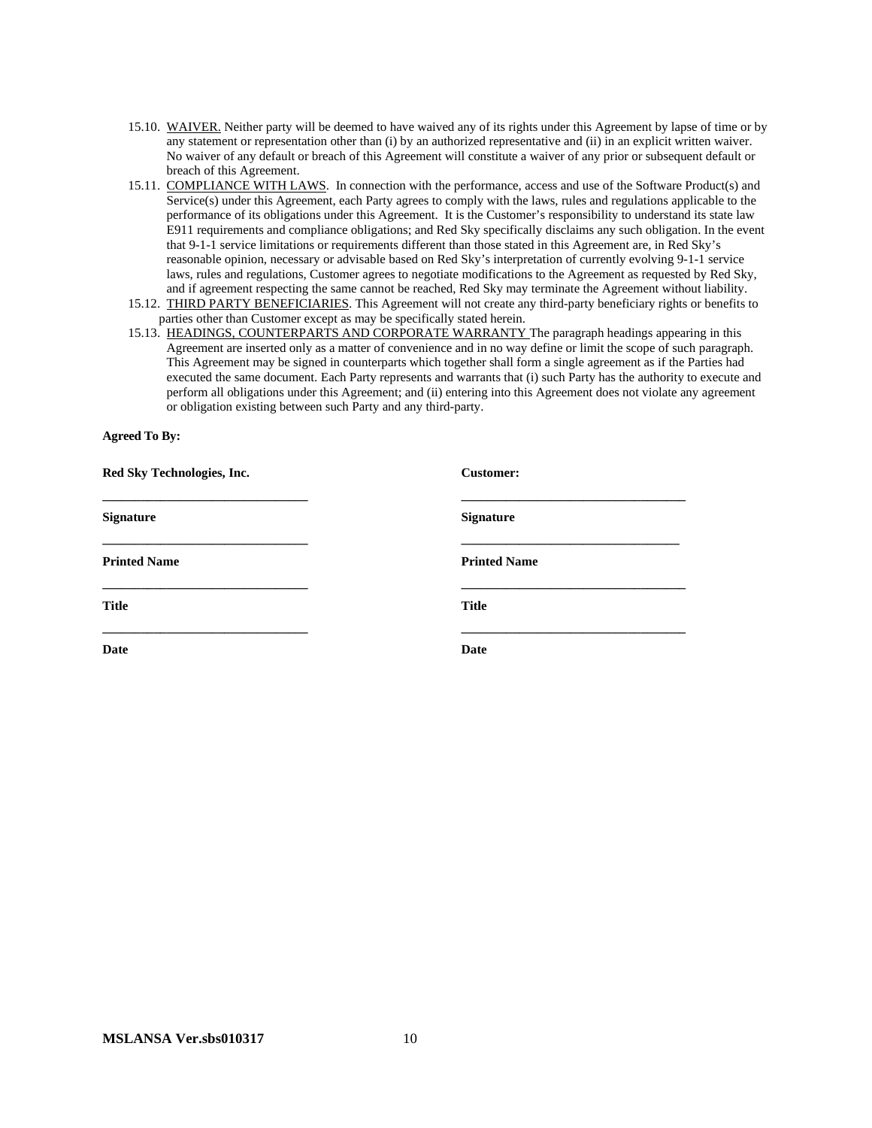- 15.10. WAIVER. Neither party will be deemed to have waived any of its rights under this Agreement by lapse of time or by any statement or representation other than (i) by an authorized representative and (ii) in an explicit written waiver. No waiver of any default or breach of this Agreement will constitute a waiver of any prior or subsequent default or breach of this Agreement.
- 15.11. COMPLIANCE WITH LAWS. In connection with the performance, access and use of the Software Product(s) and Service(s) under this Agreement, each Party agrees to comply with the laws, rules and regulations applicable to the performance of its obligations under this Agreement. It is the Customer's responsibility to understand its state law E911 requirements and compliance obligations; and Red Sky specifically disclaims any such obligation. In the event that 9-1-1 service limitations or requirements different than those stated in this Agreement are, in Red Sky's reasonable opinion, necessary or advisable based on Red Sky's interpretation of currently evolving 9-1-1 service laws, rules and regulations, Customer agrees to negotiate modifications to the Agreement as requested by Red Sky, and if agreement respecting the same cannot be reached, Red Sky may terminate the Agreement without liability.
- 15.12. THIRD PARTY BENEFICIARIES. This Agreement will not create any third-party beneficiary rights or benefits to parties other than Customer except as may be specifically stated herein.
- 15.13. HEADINGS, COUNTERPARTS AND CORPORATE WARRANTY The paragraph headings appearing in this Agreement are inserted only as a matter of convenience and in no way define or limit the scope of such paragraph. This Agreement may be signed in counterparts which together shall form a single agreement as if the Parties had executed the same document. Each Party represents and warrants that (i) such Party has the authority to execute and perform all obligations under this Agreement; and (ii) entering into this Agreement does not violate any agreement or obligation existing between such Party and any third-party.

#### **Agreed To By:**

| Red Sky Technologies, Inc. | <b>Customer:</b>    |
|----------------------------|---------------------|
| <b>Signature</b>           | <b>Signature</b>    |
| <b>Printed Name</b>        | <b>Printed Name</b> |
| <b>Title</b>               | <b>Title</b>        |
| <b>Date</b>                | Date                |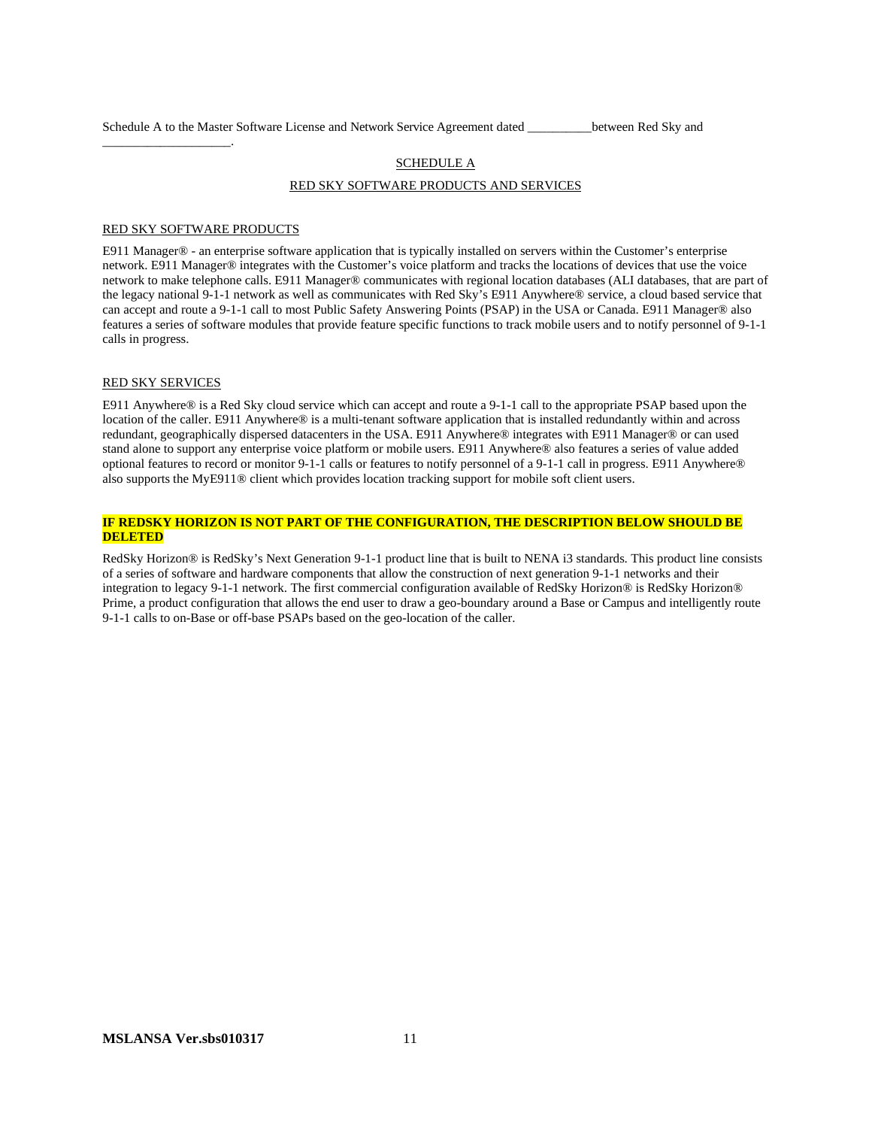Schedule A to the Master Software License and Network Service Agreement dated \_\_\_\_\_\_\_\_\_\_between Red Sky and

## **SCHEDULE A** RED SKY SOFTWARE PRODUCTS AND SERVICES

#### RED SKY SOFTWARE PRODUCTS

\_\_\_\_\_\_\_\_\_\_\_\_\_\_\_\_\_\_\_\_.

E911 Manager® - an enterprise software application that is typically installed on servers within the Customer's enterprise network. E911 Manager® integrates with the Customer's voice platform and tracks the locations of devices that use the voice network to make telephone calls. E911 Manager® communicates with regional location databases (ALI databases, that are part of the legacy national 9-1-1 network as well as communicates with Red Sky's E911 Anywhere® service, a cloud based service that can accept and route a 9-1-1 call to most Public Safety Answering Points (PSAP) in the USA or Canada. E911 Manager® also features a series of software modules that provide feature specific functions to track mobile users and to notify personnel of 9-1-1 calls in progress.

#### RED SKY SERVICES

E911 Anywhere® is a Red Sky cloud service which can accept and route a 9-1-1 call to the appropriate PSAP based upon the location of the caller. E911 Anywhere® is a multi-tenant software application that is installed redundantly within and across redundant, geographically dispersed datacenters in the USA. E911 Anywhere® integrates with E911 Manager® or can used stand alone to support any enterprise voice platform or mobile users. E911 Anywhere® also features a series of value added optional features to record or monitor 9-1-1 calls or features to notify personnel of a 9-1-1 call in progress. E911 Anywhere® also supports the MyE911® client which provides location tracking support for mobile soft client users.

#### **IF REDSKY HORIZON IS NOT PART OF THE CONFIGURATION, THE DESCRIPTION BELOW SHOULD BE DELETED**

RedSky Horizon® is RedSky's Next Generation 9-1-1 product line that is built to NENA i3 standards. This product line consists of a series of software and hardware components that allow the construction of next generation 9-1-1 networks and their integration to legacy 9-1-1 network. The first commercial configuration available of RedSky Horizon® is RedSky Horizon® Prime, a product configuration that allows the end user to draw a geo-boundary around a Base or Campus and intelligently route 9-1-1 calls to on-Base or off-base PSAPs based on the geo-location of the caller.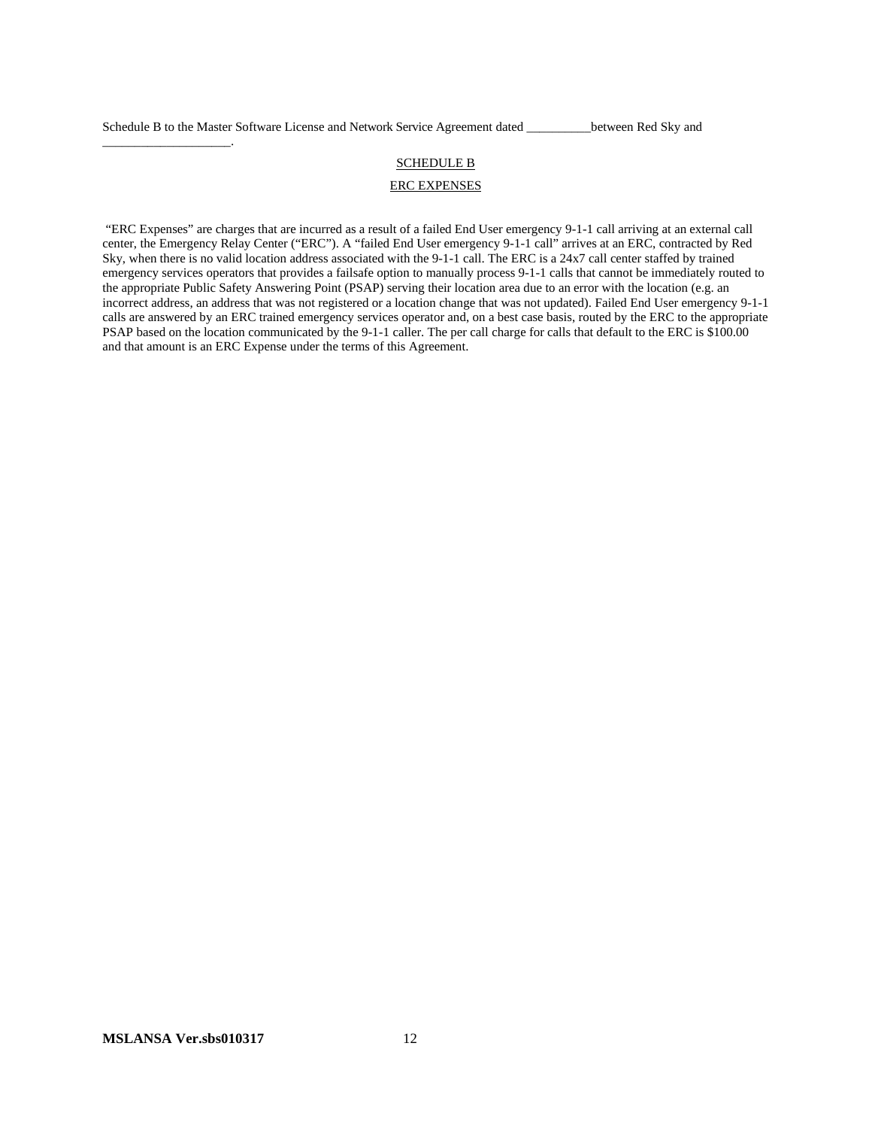\_\_\_\_\_\_\_\_\_\_\_\_\_\_\_\_\_\_\_\_.

# SCHEDULE B

#### ERC EXPENSES

"ERC Expenses" are charges that are incurred as a result of a failed End User emergency 9-1-1 call arriving at an external call center, the Emergency Relay Center ("ERC"). A "failed End User emergency 9-1-1 call" arrives at an ERC, contracted by Red Sky, when there is no valid location address associated with the 9-1-1 call. The ERC is a 24x7 call center staffed by trained emergency services operators that provides a failsafe option to manually process 9-1-1 calls that cannot be immediately routed to the appropriate Public Safety Answering Point (PSAP) serving their location area due to an error with the location (e.g. an incorrect address, an address that was not registered or a location change that was not updated). Failed End User emergency 9-1-1 calls are answered by an ERC trained emergency services operator and, on a best case basis, routed by the ERC to the appropriate PSAP based on the location communicated by the 9-1-1 caller. The per call charge for calls that default to the ERC is \$100.00 and that amount is an ERC Expense under the terms of this Agreement.